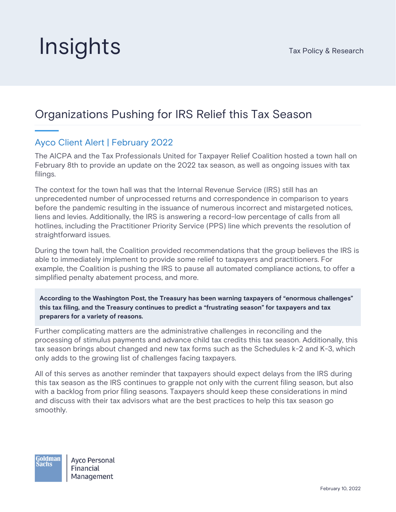## **Insights** Tax Policy & Research

## Organizations Pushing for IRS Relief this Tax Season

## Ayco Client Alert | February 2022

The AICPA and the Tax Professionals United for Taxpayer Relief Coalition hosted a town hall on February 8th to provide an update on the 2022 tax season, as well as ongoing issues with tax filings.

The context for the town hall was that the Internal Revenue Service (IRS) still has an unprecedented number of unprocessed returns and correspondence in comparison to years before the pandemic resulting in the issuance of numerous incorrect and mistargeted notices, liens and levies. Additionally, the IRS is answering a record-low percentage of calls from all hotlines, including the Practitioner Priority Service (PPS) line which prevents the resolution of straightforward issues.

During the town hall, the Coalition provided recommendations that the group believes the IRS is able to immediately implement to provide some relief to taxpayers and practitioners. For example, the Coalition is pushing the IRS to pause all automated compliance actions, to offer a simplified penalty abatement process, and more.

**According to the Washington Post, the Treasury has been warning taxpayers of "enormous challenges" this tax filing, and the Treasury continues to predict a "frustrating season" for taxpayers and tax preparers for a variety of reasons.**

Further complicating matters are the administrative challenges in reconciling and the processing of stimulus payments and advance child tax credits this tax season. Additionally, this tax season brings about changed and new tax forms such as the Schedules k-2 and K-3, which only adds to the growing list of challenges facing taxpayers.

All of this serves as another reminder that taxpayers should expect delays from the IRS during this tax season as the IRS continues to grapple not only with the current filing season, but also with a backlog from prior filing seasons. Taxpayers should keep these considerations in mind and discuss with their tax advisors what are the best practices to help this tax season go smoothly.

**Goldman Avco Personal** Sachs Financial Management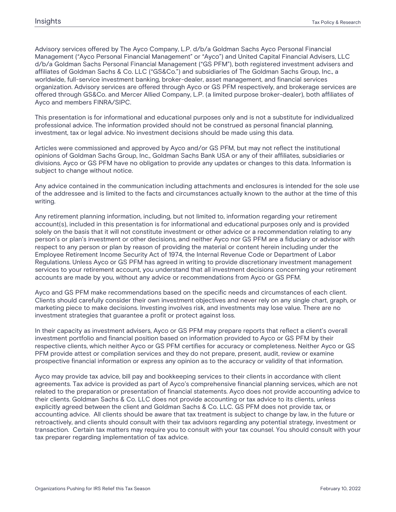Advisory services offered by The Ayco Company, L.P. d/b/a Goldman Sachs Ayco Personal Financial Management ("Ayco Personal Financial Management" or "Ayco") and United Capital Financial Advisers, LLC d/b/a Goldman Sachs Personal Financial Management ("GS PFM"), both registered investment advisers and affiliates of Goldman Sachs & Co. LLC ("GS&Co.") and subsidiaries of The Goldman Sachs Group, Inc., a worldwide, full-service investment banking, broker-dealer, asset management, and financial services organization. Advisory services are offered through Ayco or GS PFM respectively, and brokerage services are offered through GS&Co. and Mercer Allied Company, L.P. (a limited purpose broker-dealer), both affiliates of Ayco and members FINRA/SIPC.

This presentation is for informational and educational purposes only and is not a substitute for individualized professional advice. The information provided should not be construed as personal financial planning, investment, tax or legal advice. No investment decisions should be made using this data.

Articles were commissioned and approved by Ayco and/or GS PFM, but may not reflect the institutional opinions of Goldman Sachs Group, Inc., Goldman Sachs Bank USA or any of their affiliates, subsidiaries or divisions. Ayco or GS PFM have no obligation to provide any updates or changes to this data. Information is subject to change without notice.

Any advice contained in the communication including attachments and enclosures is intended for the sole use of the addressee and is limited to the facts and circumstances actually known to the author at the time of this writing.

Any retirement planning information, including, but not limited to, information regarding your retirement account(s), included in this presentation is for informational and educational purposes only and is provided solely on the basis that it will not constitute investment or other advice or a recommendation relating to any person's or plan's investment or other decisions, and neither Ayco nor GS PFM are a fiduciary or advisor with respect to any person or plan by reason of providing the material or content herein including under the Employee Retirement Income Security Act of 1974, the Internal Revenue Code or Department of Labor Regulations. Unless Ayco or GS PFM has agreed in writing to provide discretionary investment management services to your retirement account, you understand that all investment decisions concerning your retirement accounts are made by you, without any advice or recommendations from Ayco or GS PFM.

Ayco and GS PFM make recommendations based on the specific needs and circumstances of each client. Clients should carefully consider their own investment objectives and never rely on any single chart, graph, or marketing piece to make decisions. Investing involves risk, and investments may lose value. There are no investment strategies that guarantee a profit or protect against loss.

In their capacity as investment advisers, Ayco or GS PFM may prepare reports that reflect a client's overall investment portfolio and financial position based on information provided to Ayco or GS PFM by their respective clients, which neither Ayco or GS PFM certifies for accuracy or completeness. Neither Ayco or GS PFM provide attest or compilation services and they do not prepare, present, audit, review or examine prospective financial information or express any opinion as to the accuracy or validity of that information.

Ayco may provide tax advice, bill pay and bookkeeping services to their clients in accordance with client agreements. Tax advice is provided as part of Ayco's comprehensive financial planning services, which are not related to the preparation or presentation of financial statements. Ayco does not provide accounting advice to their clients. Goldman Sachs & Co. LLC does not provide accounting or tax advice to its clients, unless explicitly agreed between the client and Goldman Sachs & Co. LLC. GS PFM does not provide tax, or accounting advice. All clients should be aware that tax treatment is subject to change by law, in the future or retroactively, and clients should consult with their tax advisors regarding any potential strategy, investment or transaction. Certain tax matters may require you to consult with your tax counsel. You should consult with your tax preparer regarding implementation of tax advice.